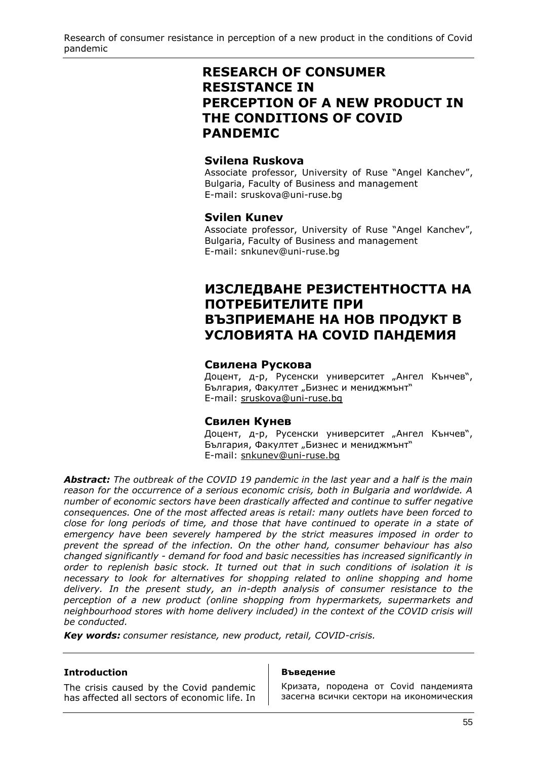Research of consumer resistance in perception of a new product in the conditions of Covid pandemic

# **RESEARCH OF CONSUMER RESISTANCE IN PERCEPTION OF A NEW PRODUCT IN THE CONDITIONS OF COVID PANDEMIC**

# **Svilena Ruskova**

Associate professor, University of Ruse "Angel Kanchev", Bulgaria, Faculty of Business and management E-mail: [sruskova@uni-ruse.bg](mailto:sruskova@uni-ruse.bg)

# **Svilen Kunev**

Associate professor, University of Ruse "Angel Kanchev", Bulgaria, Faculty of Business and management E-mail: [snkunev@uni-ruse.bg](mailto:snkunev@uni-ruse.bg)

# **ИЗСЛЕДВАНЕ РЕЗИСТЕНТНОСТТА НА ПОТРЕБИТЕЛИТЕ ПРИ ВЪЗПРИЕМАНЕ НА НОВ ПРОДУКТ В УСЛОВИЯТА НА COVID ПАНДЕМИЯ**

#### **Свилена Рускова**

Доцент, д-р, Русенски университет "Ангел Кънчев", България, Факултет "Бизнес и мениджмънт" E-mail: [sruskova@uni-ruse.bg](mailto:sruskova@uni-ruse.bg)

# **Свилен Кунев**

Доцент, д-р, Русенски университет "Ангел Кънчев", България, Факултет "Бизнес и мениджмънт" E-mail: [snkunev@uni-ruse.bg](mailto:snkunev@uni-ruse.bg)

*Abstract: The outbreak of the COVID 19 pandemic in the last year and a half is the main reason for the occurrence of a serious economic crisis, both in Bulgaria and worldwide. A number of economic sectors have been drastically affected and continue to suffer negative consequences. One of the most affected areas is retail: many outlets have been forced to close for long periods of time, and those that have continued to operate in a state of emergency have been severely hampered by the strict measures imposed in order to prevent the spread of the infection. On the other hand, consumer behaviour has also changed significantly - demand for food and basic necessities has increased significantly in order to replenish basic stock. It turned out that in such conditions of isolation it is necessary to look for alternatives for shopping related to online shopping and home delivery. In the present study, an in-depth analysis of consumer resistance to the perception of a new product (online shopping from hypermarkets, supermarkets and neighbourhood stores with home delivery included) in the context of the COVID crisis will be conducted.*

*Key words: consumer resistance, new product, retail, COVID-crisis.*

#### **Introduction**

The crisis caused by the Covid pandemic has affected all sectors of economic life. In

#### **Въведение**

Кризата, породена от Covid пандемията засегна всички сектори на икономическия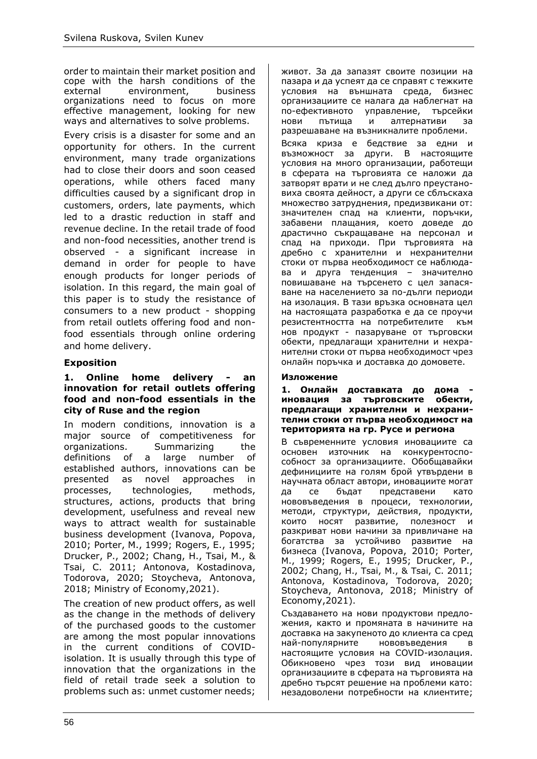order to maintain their market position and cope with the harsh conditions of the external environment, business organizations need to focus on more effective management, looking for new ways and alternatives to solve problems.

Every crisis is a disaster for some and an opportunity for others. In the current environment, many trade organizations had to close their doors and soon ceased operations, while others faced many difficulties caused by a significant drop in customers, orders, late payments, which led to a drastic reduction in staff and revenue decline. In the retail trade of food and non-food necessities, another trend is observed - a significant increase in demand in order for people to have enough products for longer periods of isolation. In this regard, the main goal of this paper is to study the resistance of consumers to a new product - shopping from retail outlets offering food and nonfood essentials through online ordering and home delivery.

# **Exposition**

#### **1. Online home delivery - an innovation for retail outlets offering food and non-food essentials in the city of Ruse and the region**

In modern conditions, innovation is a major source of competitiveness for organizations. Summarizing the definitions of a large number of established authors, innovations can be presented as novel approaches in processes, technologies, methods, structures, actions, products that bring development, usefulness and reveal new ways to attract wealth for sustainable business development (Ivanova, Popova, 2010; Porter, M., 1999; Rogers, Е., 1995; Drucker, P., 2002; Chang, H., Tsai, M., & Tsai, C. 2011; Antonova, Kostadinova, Todorova, 2020; Stoycheva, Antonova, 2018; Ministry of Economy,2021).

The creation of new product offers, as well as the change in the methods of delivery of the purchased goods to the customer are among the most popular innovations in the current conditions of COVIDisolation. It is usually through this type of innovation that the organizations in the field of retail trade seek a solution to problems such as: unmet customer needs; живот. За да запазят своите позиции на пазара и да успеят да се справят с тежките условия на външната среда, бизнес организациите се налага да наблегнат на по-ефективното управление, търсейки нови пътища и алтернативи за разрешаване на възникналите проблеми.

Всяка криза е бедствие за едни и възможност за други. В настоящите условия на много организации, работещи в сферата на търговията се наложи да затворят врати и не след дълго преустановиха своята дейност, а други се сблъскаха множество затруднения, предизвикани от: значителен спад на клиенти, поръчки, забавени плащания, което доведе до драстично съкращаване на персонал и спад на приходи. При търговията на дребно с хранителни и нехранителни стоки от първа необходимост се наблюдава и друга тенденция – значително повишаване на търсенето с цел запасяване на населението за по-дълги периоди на изолация. В тази връзка основната цел на настоящата разработка е да се проучи резистентността на потребителите към нов продукт - пазаруване от търговски обекти, предлагащи хранителни и нехранителни стоки от първа необходимост чрез онлайн поръчка и доставка до домовете.

#### **Изложение**

**1. Онлайн доставката до дома иновация за търговските обекти, предлагащи хранителни и нехранителни стоки от първа необходимост на територията на гр. Русе и региона**

В съвременните условия иновациите са основен източник на конкурентоспособност за организациите. Обобщавайки дефинициите на голям брой утвърдени в научната област автори, иновациите могат да се бъдат представени като нововъведения в процеси, технологии, методи, структури, действия, продукти, които носят развитие, полезност и разкриват нови начини за привличане на богатства за устойчиво развитие на бизнеса (Ivanova, Popova, 2010; Porter, M., 1999; Rogers, Е., 1995; Drucker, P., 2002; Chang, H., Tsai, M., & Tsai, C. 2011; Antonova, Kostadinova, Todorova, 2020; Stoycheva, Antonova, 2018; Ministry of Economy,2021).

Създаването на нови продуктови предложения, както и промяната в начините на доставка на закупеното до клиента са сред най-популярните нововъведения в настоящите условия на COVID-изолация. Обикновено чрез този вид иновации организациите в сферата на търговията на дребно търсят решение на проблеми като: незадоволени потребности на клиентите;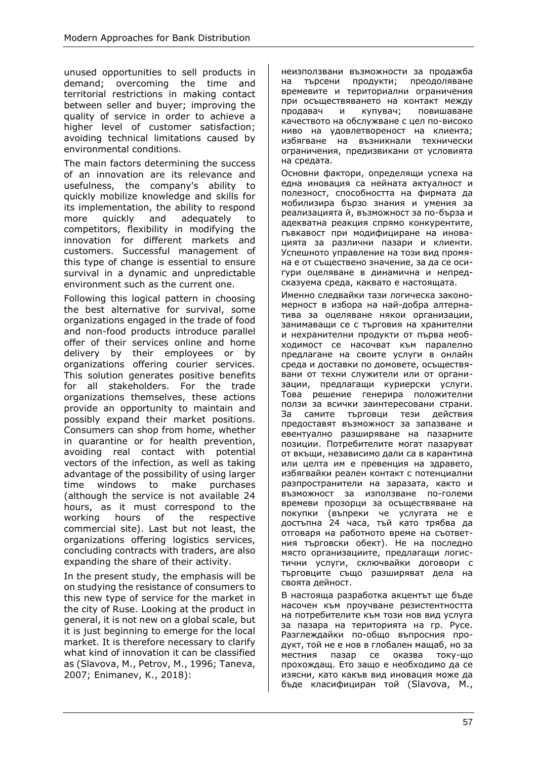unused opportunities to sell products in demand; overcoming the time and territorial restrictions in making contact between seller and buyer; improving the quality of service in order to achieve a higher level of customer satisfaction; avoiding technical limitations caused by environmental conditions.

The main factors determining the success of an innovation are its relevance and usefulness, the company's ability to quickly mobilize knowledge and skills for its implementation, the ability to respond more quickly and adequately to competitors, flexibility in modifying the innovation for different markets and customers. Successful management of this type of change is essential to ensure survival in a dynamic and unpredictable environment such as the current one.

Following this logical pattern in choosing the best alternative for survival, some organizations engaged in the trade of food and non-food products introduce parallel offer of their services online and home delivery by their employees or by organizations offering courier services. This solution generates positive benefits for all stakeholders. For the trade organizations themselves, these actions provide an opportunity to maintain and possibly expand their market positions. Consumers can shop from home, whether in quarantine or for health prevention, avoiding real contact with potential vectors of the infection, as well as taking advantage of the possibility of using larger time windows to make purchases (although the service is not available 24 hours, as it must correspond to the working hours of the respective commercial site). Last but not least, the organizations offering logistics services, concluding contracts with traders, are also expanding the share of their activity.

In the present study, the emphasis will be on studying the resistance of consumers to this new type of service for the market in the city of Ruse. Looking at the product in general, it is not new on a global scale, but it is just beginning to emerge for the local market. It is therefore necessary to clarify what kind of innovation it can be classified as (Slavova, М., Petrov, М., 1996; Taneva, 2007; Enimanev, К., 2018):

неизползвани възможности за продажба на търсени продукти; преодоляване времевите и териториални ограничения при осъществяването на контакт между продавач и купувач; повишаване качеството на обслужване с цел по-високо ниво на удовлетвореност на клиента; избягване на възникнали технически ограничения, предизвикани от условията на средата.

Основни фактори, определящи успеха на една иновация са нейната актуалност и полезност, способността на фирмата да мобилизира бързо знания и умения за реализацията й, възможност за по-бърза и адекватна реакция спрямо конкурентите, гъвкавост при модифициране на иновацията за различни пазари и клиенти. Успешното управление на този вид промяна е от съществено значение, за да се осигури оцеляване в динамична и непредсказуема среда, каквато е настоящата.

Именно следвайки тази логическа закономерност в избора на най-добра алтернатива за оцеляване някои организации, занимаващи се с търговия на хранителни и нехранителни продукти от първа необходимост се насочват към паралелно предлагане на своите услуги в онлайн среда и доставки по домовете, осъществявани от техни служители или от организации, предлагащи куриерски услуги. Това решение генерира положителни ползи за всички заинтересовани страни. За самите търговци тези действия предоставят възможност за запазване и евентуално разширяване на пазарните позиции. Потребителите могат пазаруват от вкъщи, независимо дали са в карантина или целта им е превенция на здравето, избягвайки реален контакт с потенциални разпространители на заразата, както и възможност за използване по-големи времеви прозорци за осъществяване на покупки (въпреки че услугата не е достъпна 24 часа, тъй като трябва да отговаря на работното време на съответния търговски обект). Не на последно място организациите, предлагащи логистични услуги, сключвайки договори с търговците също разширяват дела на своята дейност.

В настояща разработка акцентът ще бъде насочен към проучване резистентността на потребителите към този нов вид услуга за пазара на територията на гр. Русе. Разглеждайки по-общо въпросния продукт, той не е нов в глобален мащаб, но за местния пазар се оказва току-що прохождащ. Ето защо е необходимо да се изясни, като какъв вид иновация може да бъде класифициран той (Slavova, М.,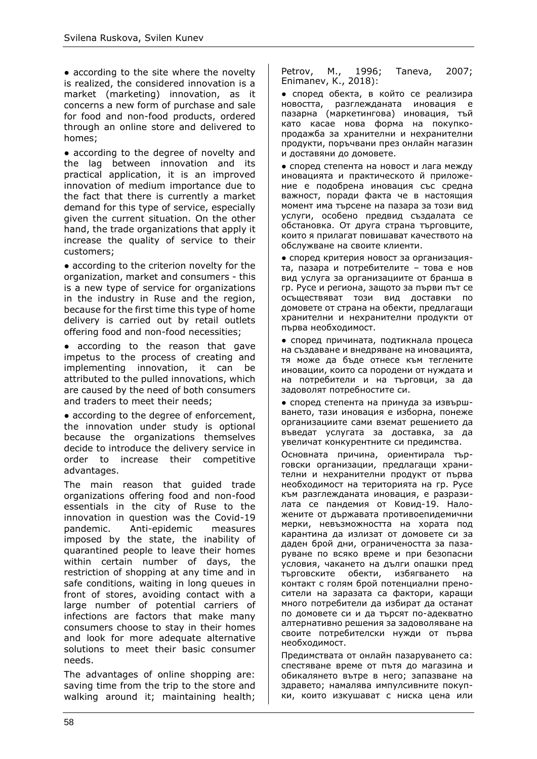• according to the site where the novelty is realized, the considered innovation is a market (marketing) innovation, as it concerns a new form of purchase and sale for food and non-food products, ordered through an online store and delivered to homes;

● according to the degree of novelty and the lag between innovation and its practical application, it is an improved innovation of medium importance due to the fact that there is currently a market demand for this type of service, especially given the current situation. On the other hand, the trade organizations that apply it increase the quality of service to their customers;

• according to the criterion novelty for the organization, market and consumers - this is a new type of service for organizations in the industry in Ruse and the region, because for the first time this type of home delivery is carried out by retail outlets offering food and non-food necessities;

● according to the reason that gave impetus to the process of creating and implementing innovation, it can be attributed to the pulled innovations, which are caused by the need of both consumers and traders to meet their needs;

• according to the degree of enforcement, the innovation under study is optional because the organizations themselves decide to introduce the delivery service in order to increase their competitive advantages.

The main reason that guided trade organizations offering food and non-food essentials in the city of Ruse to the innovation in question was the Covid-19 pandemic. Anti-epidemic measures imposed by the state, the inability of quarantined people to leave their homes within certain number of days, the restriction of shopping at any time and in safe conditions, waiting in long queues in front of stores, avoiding contact with a large number of potential carriers of infections are factors that make many consumers choose to stay in their homes and look for more adequate alternative solutions to meet their basic consumer needs.

The advantages of online shopping are: saving time from the trip to the store and walking around it; maintaining health;

Petrov, М., 1996; Taneva, 2007; Enimanev, К., 2018):

● според обекта, в който се реализира новостта, разглежданата иновация е пазарна (маркетингова) иновация, тъй като касае нова форма на покупкопродажба за хранителни и нехранителни продукти, поръчвани през онлайн магазин и доставяни до домовете.

● според степента на новост и лага между иновацията и практическото й приложение е подобрена иновация със средна важност, поради факта че в настоящия момент има търсене на пазара за този вид услуги, особено предвид създалата се обстановка. От друга страна търговците, които я прилагат повишават качеството на обслужване на своите клиенти.

● според критерия новост за организацията, пазара и потребителите – това е нов вид услуга за организациите от бранша в гр. Русе и региона, защото за първи път се осъществяват този вид доставки по домовете от страна на обекти, предлагащи хранителни и нехранителни продукти от първа необходимост.

● според причината, подтикнала процеса на създаване и внедряване на иновацията, тя може да бъде отнесе към теглените иновации, които са породени от нуждата и на потребители и на търговци, за да задоволят потребностите си.

● според степента на принуда за извършването, тази иновация е изборна, понеже организациите сами вземат решението да въведат услугата за доставка, за да увеличат конкурентните си предимства.

Основната причина, ориентирала търговски организации, предлагащи хранителни и нехранителни продукт от първа необходимост на територията на гр. Русе към разглежданата иновация, е разразилата се пандемия от Ковид-19. Наложените от държавата противоепидемични мерки, невъзможността на хората под карантина да излизат от домовете си за даден брой дни, ограничеността за пазаруване по всяко време и при безопасни условия, чакането на дълги опашки пред търговските обекти, избягването на контакт с голям брой потенциални преносители на заразата са фактори, каращи много потребители да избират да останат по домовете си и да търсят по-адекватно алтернативно решения за задоволяване на своите потребителски нужди от първа необходимост.

Предимствата от онлайн пазаруването са: спестяване време от пътя до магазина и обикалянето вътре в него; запазване на здравето; намалява импулсивните покупки, които изкушават с ниска цена или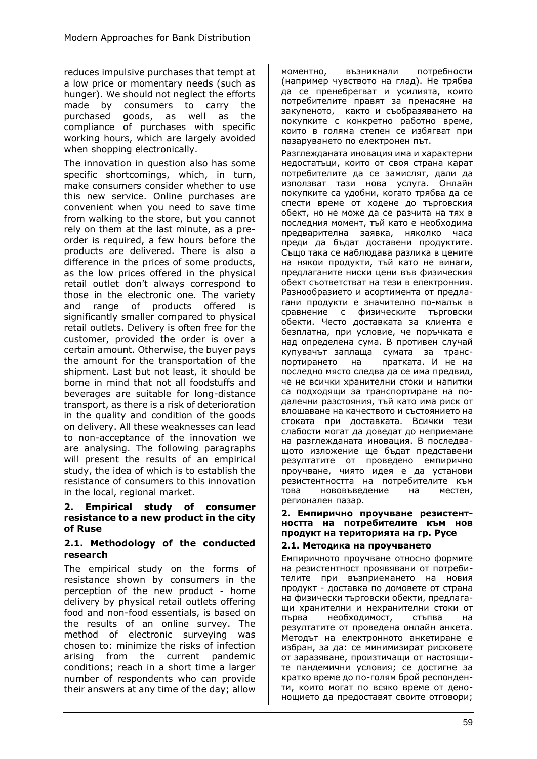reduces impulsive purchases that tempt at a low price or momentary needs (such as hunger). We should not neglect the efforts made by consumers to carry the purchased goods, as well as the compliance of purchases with specific working hours, which are largely avoided when shopping electronically.

The innovation in question also has some specific shortcomings, which, in turn, make consumers consider whether to use this new service. Online purchases are convenient when you need to save time from walking to the store, but you cannot rely on them at the last minute, as a preorder is required, a few hours before the products are delivered. There is also a difference in the prices of some products, as the low prices offered in the physical retail outlet don't always correspond to those in the electronic one. The variety and range of products offered is significantly smaller compared to physical retail outlets. Delivery is often free for the customer, provided the order is over a certain amount. Otherwise, the buyer pays the amount for the transportation of the shipment. Last but not least, it should be borne in mind that not all foodstuffs and beverages are suitable for long-distance transport, as there is a risk of deterioration in the quality and condition of the goods on delivery. All these weaknesses can lead to non-acceptance of the innovation we are analysing. The following paragraphs will present the results of an empirical study, the idea of which is to establish the resistance of consumers to this innovation in the local, regional market.

#### **2. Empirical study of consumer resistance to a new product in the city of Ruse**

#### **2.1. Methodology of the conducted research**

The empirical study on the forms of resistance shown by consumers in the perception of the new product - home delivery by physical retail outlets offering food and non-food essentials, is based on the results of an online survey. The method of electronic surveying was chosen to: minimize the risks of infection arising from the current pandemic conditions; reach in a short time a larger number of respondents who can provide their answers at any time of the day; allow моментно, възникнали потребности (например чувството на глад). Не трябва да се пренебрегват и усилията, които потребителите правят за пренасяне на закупеното, както и съобразяването на покупките с конкретно работно време, които в голяма степен се избягват при пазаруването по електронен път.

Разглежданата иновация има и характерни недостатъци, които от своя страна карат потребителите да се замислят, дали да използват тази нова услуга. Онлайн покупките са удобни, когато трябва да се спести време от ходене до търговския обект, но не може да се разчита на тях в последния момент, тъй като е необходима предварителна заявка, няколко часа преди да бъдат доставени продуктите. Също така се наблюдава разлика в цените на някои продукти, тъй като не винаги, предлаганите ниски цени във физическия обект съответстват на тези в електронния. Разнообразието и асортимента от предлагани продукти е значително по-малък в сравнение с физическите търговски обекти. Често доставката за клиента е безплатна, при условие, че поръчката е над определена сума. В противен случай купувачът заплаща сумата за транспортирането на пратката. И не на последно място следва да се има предвид, че не всички хранителни стоки и напитки са подходящи за транспортиране на подалечни разстояния, тъй като има риск от влошаване на качеството и състоянието на стоката при доставката. Всички тези слабости могат да доведат до неприемане на разглежданата иновация. В последващото изложение ще бъдат представени резултатите от проведено емпирично проучване, чиято идея е да установи резистентността на потребителите към това нововъведение на местен, регионален пазар.

#### **2. Емпирично проучване резистентността на потребителите към нов продукт на територията на гр. Русе**

# **2.1. Методика на проучването**

Емпиричното проучване относно формите на резистентност проявявани от потребителите при възприемането на новия продукт - доставка по домовете от страна на физически търговски обекти, предлагащи хранителни и нехранителни стоки от първа необходимост, стъпва на резултатите от проведена онлайн анкета. Методът на електронното анкетиране е избран, за да: се минимизират рисковете от заразяване, произтичащи от настоящите пандемични условия; се достигне за кратко време до по-голям брой респонденти, които могат по всяко време от денонощието да предоставят своите отговори;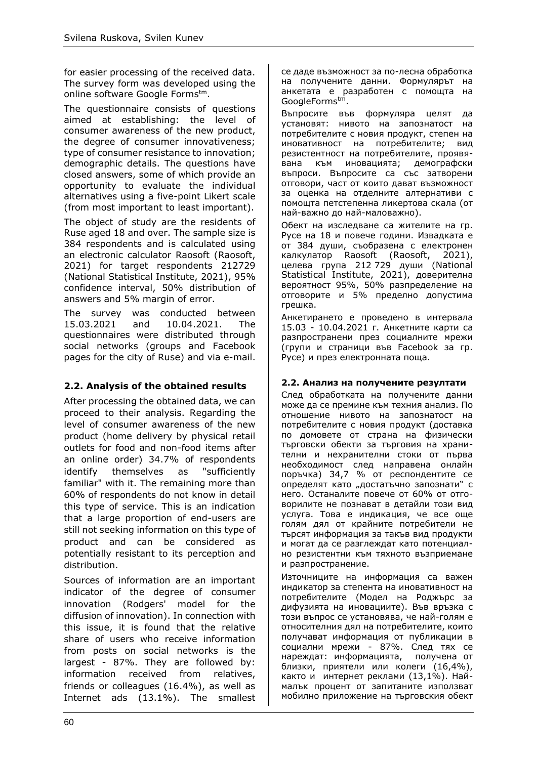for easier processing of the received data. The survey form was developed using the online software Google Formstm.

The questionnaire consists of questions aimed at establishing: the level of consumer awareness of the new product, the degree of consumer innovativeness; type of consumer resistance to innovation; demographic details. The questions have closed answers, some of which provide an opportunity to evaluate the individual alternatives using a five-point Likert scale (from most important to least important).

The object of study are the residents of Ruse aged 18 and over. The sample size is 384 respondents and is calculated using an electronic calculator Raosoft (Raosoft, 2021) for target respondents 212729 (National Statistical Institute, 2021), 95% confidence interval, 50% distribution of answers and 5% margin of error.

The survey was conducted between 15.03.2021 and 10.04.2021. The questionnaires were distributed through social networks (groups and Facebook pages for the city of Ruse) and via e-mail.

# **2.2. Analysis of the obtained results**

After processing the obtained data, we can proceed to their analysis. Regarding the level of consumer awareness of the new product (home delivery by physical retail outlets for food and non-food items after an online order) 34.7% of respondents identify themselves as "sufficiently familiar" with it. The remaining more than 60% of respondents do not know in detail this type of service. This is an indication that a large proportion of end-users are still not seeking information on this type of product and can be considered as potentially resistant to its perception and distribution.

Sources of information are an important indicator of the degree of consumer innovation (Rodgers' model for the diffusion of innovation). In connection with this issue, it is found that the relative share of users who receive information from posts on social networks is the largest - 87%. They are followed by: information received from relatives, friends or colleagues (16.4%), as well as Internet ads (13.1%). The smallest се даде възможност за по-лесна обработка на получените данни. Формулярът на анкетата е разработен с помощта на GoogleFormstm.

Въпросите във формуляра целят да установят: нивото на запознатост на потребителите с новия продукт, степен на иновативност на потребителите; вид резистентност на потребителите, проявявана към иновацията; демографски въпроси. Въпросите са със затворени отговори, част от които дават възможност за оценка на отделните алтернативи с помощта петстепенна ликертова скала (от най-важно до най-маловажно).

Обект на изследване са жителите на гр. Русе на 18 и повече години. Извадката е от 384 души, съобразена с електронен калкулатор Raosoft (Raosoft, 2021), целева група 212 729 души (National Statistical Institute, 2021), доверителна вероятност 95%, 50% разпределение на отговорите и 5% пределно допустима грешка.

Анкетирането е проведено в интервала 15.03 - 10.04.2021 г. Анкетните карти са разпространени през социалните мрежи (групи и страници във Facebook за гр. Русе) и през електронната поща.

# **2.2. Анализ на получените резултати**

След обработката на получените данни може да се премине към техния анализ. По отношение нивото на запознатост на потребителите с новия продукт (доставка по домовете от страна на физически търговски обекти за търговия на хранителни и нехранителни стоки от първа необходимост след направена онлайн поръчка) 34,7 % от респондентите се определят като "достатъчно запознати" с него. Останалите повече от 60% от отговорилите не познават в детайли този вид услуга. Това е индикация, че все още голям дял от крайните потребители не търсят информация за такъв вид продукти и могат да се разглеждат като потенциално резистентни към тяхното възприемане и разпространение.

Източниците на информация са важен индикатор за степента на иновативност на потребителите (Модел на Роджърс за дифузията на иновациите). Във връзка с този въпрос се установява, че най-голям е относителния дял на потребителите, които получават информация от публикации в социални мрежи - 87%. След тях се нареждат: информацията, получена от близки, приятели или колеги (16,4%), както и интернет реклами (13,1%). Наймалък процент от запитаните използват мобилно приложение на търговския обект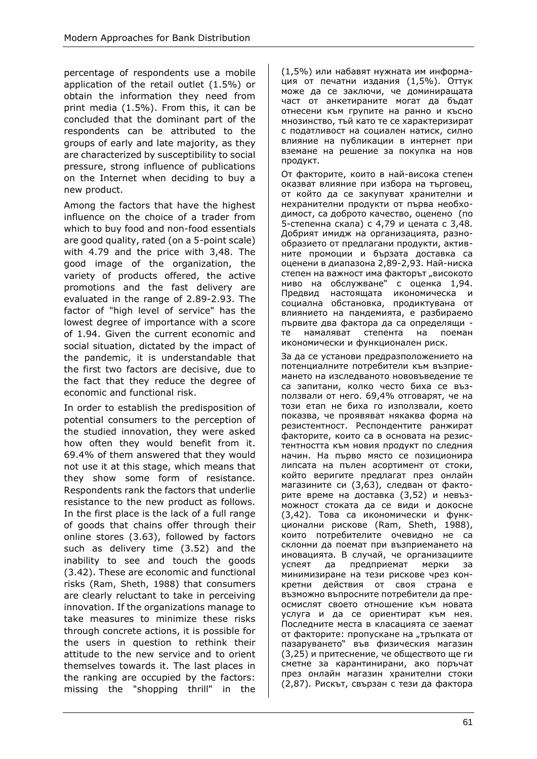percentage of respondents use a mobile application of the retail outlet (1.5%) or obtain the information they need from print media (1.5%). From this, it can be concluded that the dominant part of the respondents can be attributed to the groups of early and late majority, as they are characterized by susceptibility to social pressure, strong influence of publications on the Internet when deciding to buy a new product.

Among the factors that have the highest influence on the choice of a trader from which to buy food and non-food essentials are good quality, rated (on a 5-point scale) with 4.79 and the price with 3,48. The good image of the organization, the variety of products offered, the active promotions and the fast delivery are evaluated in the range of 2.89-2.93. The factor of "high level of service" has the lowest degree of importance with a score of 1.94. Given the current economic and social situation, dictated by the impact of the pandemic, it is understandable that the first two factors are decisive, due to the fact that they reduce the degree of economic and functional risk.

In order to establish the predisposition of potential consumers to the perception of the studied innovation, they were asked how often they would benefit from it. 69.4% of them answered that they would not use it at this stage, which means that they show some form of resistance. Respondents rank the factors that underlie resistance to the new product as follows. In the first place is the lack of a full range of goods that chains offer through their online stores (3.63), followed by factors such as delivery time (3.52) and the inability to see and touch the goods (3.42). These are economic and functional risks (Ram, Sheth, 1988) that consumers are clearly reluctant to take in perceiving innovation. If the organizations manage to take measures to minimize these risks through concrete actions, it is possible for the users in question to rethink their attitude to the new service and to orient themselves towards it. The last places in the ranking are occupied by the factors: missing the "shopping thrill" in the (1,5%) или набавят нужната им информация от печатни издания (1,5%). Оттук може да се заключи, че доминиращата част от анкетираните могат да бъдат отнесени към групите на ранно и късно мнозинство, тъй като те се характеризират с податливост на социален натиск, силно влияние на публикации в интернет при вземане на решение за покупка на нов продукт.

От факторите, които в най-висока степен оказват влияние при избора на търговец, от който да се закупуват хранителни и нехранителни продукти от първа необходимост, са доброто качество, оценено (по 5-степенна скала) с 4,79 и цената с 3,48. Добрият имидж на организацията, разнообразието от предлагани продукти, активните промоции и бързата доставка са оценени в диапазона 2,89-2,93. Най-ниска степен на важност има факторът "високото ниво на обслужване" с оценка 1,94. Предвид настоящата икономическа и социална обстановка, продиктувана от влиянието на пандемията, е разбираемо първите два фактора да са определящи те намаляват степента на поеман икономически и функционален риск.

За да се установи предразположението на потенциалните потребители към възприемането на изследваното нововъведение те са запитани, колко често биха се възползвали от него. 69,4% отговарят, че на този етап не биха го използвали, което показва, че проявяват някаква форма на резистентност. Респондентите ранжират факторите, които са в основата на резистентността към новия продукт по следния начин. На първо място се позиционира липсата на пълен асортимент от стоки, който веригите предлагат през онлайн магазините си (3,63), следван от факторите време на доставка (3,52) и невъзможност стоката да се види и докосне (3,42). Това са икономически и функционални рискове (Ram, Sheth, 1988), които потребителите очевидно не са склонни да поемат при възприемането на иновацията. В случай, че организациите успеят да предприемат мерки за минимизиране на тези рискове чрез конкретни действия от своя страна е възможно въпросните потребители да преосмислят своето отношение към новата услуга и да се ориентират към нея. Последните места в класацията се заемат от факторите: пропускане на "тръпката от пазаруването" във физическия магазин (3,25) и притеснение, че обществото ще ги сметнe за карантинирани, ако поръчат през онлайн магазин хранителни стоки (2,87). Рискът, свързан с тези да фактора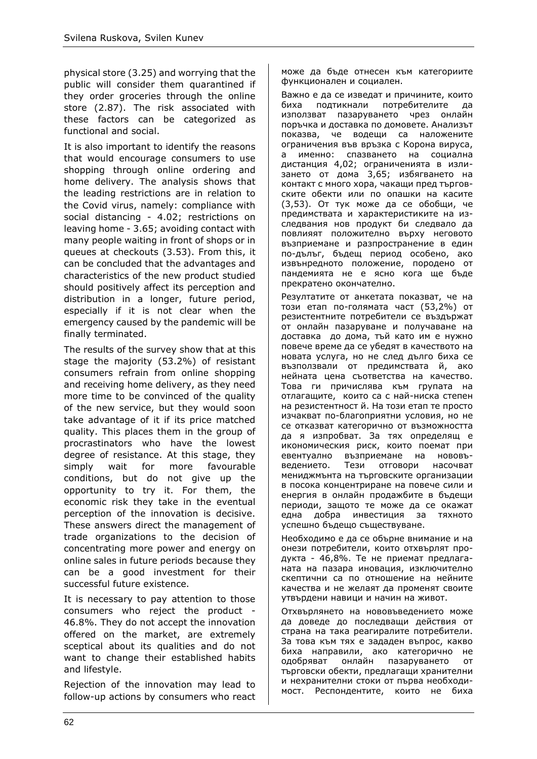physical store (3.25) and worrying that the public will consider them quarantined if they order groceries through the online store (2.87). The risk associated with these factors can be categorized as functional and social.

It is also important to identify the reasons that would encourage consumers to use shopping through online ordering and home delivery. The analysis shows that the leading restrictions are in relation to the Covid virus, namely: compliance with social distancing - 4.02; restrictions on leaving home - 3.65; avoiding contact with many people waiting in front of shops or in queues at checkouts (3.53). From this, it can be concluded that the advantages and characteristics of the new product studied should positively affect its perception and distribution in a longer, future period, especially if it is not clear when the emergency caused by the pandemic will be finally terminated.

The results of the survey show that at this stage the majority (53.2%) of resistant consumers refrain from online shopping and receiving home delivery, as they need more time to be convinced of the quality of the new service, but they would soon take advantage of it if its price matched quality. This places them in the group of procrastinators who have the lowest degree of resistance. At this stage, they simply wait for more favourable conditions, but do not give up the opportunity to try it. For them, the economic risk they take in the eventual perception of the innovation is decisive. These answers direct the management of trade organizations to the decision of concentrating more power and energy on online sales in future periods because they can be a good investment for their successful future existence.

It is necessary to pay attention to those consumers who reject the product - 46.8%. They do not accept the innovation offered on the market, are extremely sceptical about its qualities and do not want to change their established habits and lifestyle.

Rejection of the innovation may lead to follow-up actions by consumers who react може да бъде отнесен към категориите функционален и социален.

Важно е да се изведат и причините, които биха подтикнали потребителите да използват пазаруването чрез онлайн поръчка и доставка по домовете. Анализът показва, че водещи са наложените ограничения във връзка с Корона вируса, а именно: спазването на социална дистанция 4,02; ограниченията в излизането от дома 3,65; избягването на контакт с много хора, чакащи пред търговските обекти или по опашки на касите (3,53). От тук може да се обобщи, че предимствата и характеристиките на изследвания нов продукт би следвало да повлияят положително върху неговото възприемане и разпространение в един по-дълъг, бъдещ период особено, ако извънредното положение, породено от пандемията не е ясно кога ще бъде прекратено окончателно.

Резултатите от анкетата показват, че на този етап по-голямата част (53,2%) от резистентните потребители се въздържат от онлайн пазаруване и получаване на доставка до дома, тъй като им е нужно повече време да се убедят в качеството на новата услуга, но не след дълго биха се възползвали от предимствата й, ако нейната цена съответства на качество. Това ги причислява към групата на отлагащите, които са с най-ниска степен на резистентност й. На този етап те просто изчакват по-благоприятни условия, но не се отказват категорично от възможността да я изпробват. За тях определящ е икономическия риск, които поемат при евентуално възприемане на нововъведението. Тези отговори насочват мениджмънта на търговските организации в посока концентриране на повече сили и енергия в онлайн продажбите в бъдещи периоди, защото те може да се окажат една добра инвестиция за тяхното успешно бъдещо съществуване.

Необходимо е да се обърне внимание и на онези потребители, които отхвърлят продукта - 46,8%. Те не приемат предлаганата на пазара иновация, изключително скептични са по отношение на нейните качества и не желаят да променят своите утвърдени навици и начин на живот.

Отхвърлянето на нововъведението може да доведе до последващи действия от страна на така реагиралите потребители. За това към тях е зададен въпрос, какво биха направили, ако категорично не одобряват онлайн пазаруването от търговски обекти, предлагащи хранителни и нехранителни стоки от първа необходимост. Респондентите, които не биха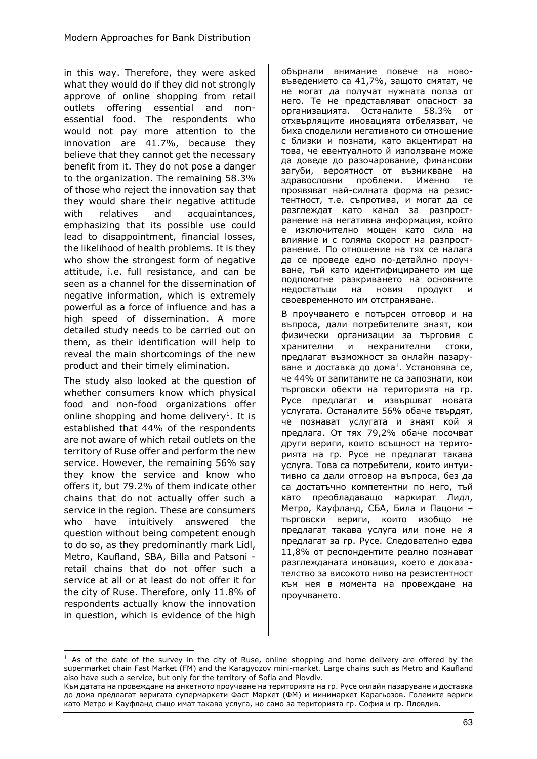in this way. Therefore, they were asked what they would do if they did not strongly approve of online shopping from retail outlets offering essential and nonessential food. The respondents who would not pay more attention to the innovation are 41.7%, because they believe that they cannot get the necessary benefit from it. They do not pose a danger to the organization. The remaining 58.3% of those who reject the innovation say that they would share their negative attitude with relatives and acquaintances, emphasizing that its possible use could lead to disappointment, financial losses, the likelihood of health problems. It is they who show the strongest form of negative attitude, i.e. full resistance, and can be seen as a channel for the dissemination of negative information, which is extremely powerful as a force of influence and has a high speed of dissemination. A more detailed study needs to be carried out on them, as their identification will help to reveal the main shortcomings of the new product and their timely elimination.

The study also looked at the question of whether consumers know which physical food and non-food organizations offer online shopping and home delivery<sup>1</sup>. It is established that 44% of the respondents are not aware of which retail outlets on the territory of Ruse offer and perform the new service. However, the remaining 56% say they know the service and know who offers it, but 79.2% of them indicate other chains that do not actually offer such a service in the region. These are consumers who have intuitively answered the question without being competent enough to do so, as they predominantly mark Lidl, Metro, Kaufland, SBA, Billa and Patsoni retail chains that do not offer such a service at all or at least do not offer it for the city of Ruse. Therefore, only 11.8% of respondents actually know the innovation in question, which is evidence of the high

обърнали внимание повече на нововъведението са 41,7%, защото смятат, че не могат да получат нужната полза от него. Те не представляват опасност за организацията. Останалите 58.3% от отхвърлящите иновацията отбелязват, че биха споделили негативното си отношение с близки и познати, като акцентират на това, че евентуалното й използване може да доведе до разочарование, финансови загуби, вероятност от възникване на здравословни проблеми. Именно те проявяват най-силната форма на резистентност, т.е. съпротива, и могат да се разглеждат като канал за разпространение на негативна информация, който е изключително мощен като сила на влияние и с голяма скорост на разпространение. По отношение на тях се налага да се проведе едно по-детайлно проучване, тъй като идентифицирането им ще подпомогне разкриването на основните недостатъци на новия продукт и своевременното им отстраняване.

В проучването е потърсен отговор и на въпроса, дали потребителите знаят, кои физически организации за търговия с хранителни и нехранителни стоки, предлагат възможност за онлайн пазаруване и доставка до дома<sup>1</sup>. Установява се, че 44% от запитаните не са запознати, кои търговски обекти на територията на гр. Русе предлагат и извършват новата услугата. Останалите 56% обаче твърдят, че познават услугата и знаят кой я предлага. От тях 79,2% обаче посочват други вериги, които всъщност на територията на гр. Русе не предлагат такава услуга. Това са потребители, които интуитивно са дали отговор на въпроса, без да са достатъчно компетентни по него, тъй като преобладаващо маркират Лидл, Метро, Кауфланд, СБА, Била и Пацони – търговски вериги, които изобщо не предлагат такава услуга или поне не я предлагат за гр. Русе. Следователно едва 11,8% от респондентите реално познават разглежданата иновация, което е доказателство за високото ниво на резистентност към нея в момента на провеждане на проучването.

 $1$  As of the date of the survey in the city of Ruse, online shopping and home delivery are offered by the supermarket chain Fast Market (FM) and the Karagyozov mini-market. Large chains such as Metro and Kaufland also have such a service, but only for the territory of Sofia and Plovdiv.

Към датата на провеждане на анкетното проучване на територията на гр. Русе онлайн пазаруване и доставка до дома предлагат веригата супермаркети Фаст Маркет (ФМ) и минимаркет Карагьозов. Големите вериги като Метро и Кауфланд също имат такава услуга, но само за територията гр. София и гр. Пловдив.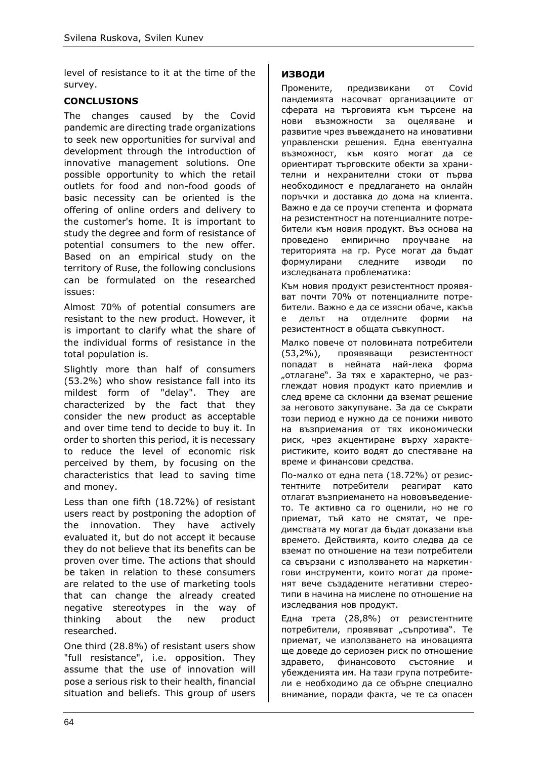level of resistance to it at the time of the survey.

# **CONCLUSIONS**

The changes caused by the Covid pandemic are directing trade organizations to seek new opportunities for survival and development through the introduction of innovative management solutions. One possible opportunity to which the retail outlets for food and non-food goods of basic necessity can be oriented is the offering of online orders and delivery to the customer's home. It is important to study the degree and form of resistance of potential consumers to the new offer. Based on an empirical study on the territory of Ruse, the following conclusions can be formulated on the researched issues:

Almost 70% of potential consumers are resistant to the new product. However, it is important to clarify what the share of the individual forms of resistance in the total population is.

Slightly more than half of consumers (53.2%) who show resistance fall into its mildest form of "delay". They are characterized by the fact that they consider the new product as acceptable and over time tend to decide to buy it. In order to shorten this period, it is necessary to reduce the level of economic risk perceived by them, by focusing on the characteristics that lead to saving time and money.

Less than one fifth (18.72%) of resistant users react by postponing the adoption of the innovation. They have actively evaluated it, but do not accept it because they do not believe that its benefits can be proven over time. The actions that should be taken in relation to these consumers are related to the use of marketing tools that can change the already created negative stereotypes in the way of thinking about the new product researched.

One third (28.8%) of resistant users show "full resistance", i.e. opposition. They assume that the use of innovation will pose a serious risk to their health, financial situation and beliefs. This group of users

# **ИЗВОДИ**

Промените, предизвикани от Covid пандемията насочват организациите от сферата на търговията към търсене на нови възможности за оцеляване и развитие чрез въвеждането на иновативни управленски решения. Една евентуална възможност, към която могат да се ориентират търговските обекти за хранителни и нехранителни стоки от първа необходимост е предлагането на онлайн поръчки и доставка до дома на клиента. Важно е да се проучи степента и формата на резистентност на потенциалните потребители към новия продукт. Въз основа на проведено емпирично проучване на територията на гр. Русе могат да бъдат формулирани следните изводи по изследваната проблематика:

Към новия продукт резистентност проявяват почти 70% от потенциалните потребители. Важно е да се изясни обаче, какъв е делът на отделните форми на резистентност в общата съвкупност.

Малко повече от половината потребители (53,2%), проявяващи резистентност попадат в нейната най-лека форма "отлагане". За тях е характерно, че разглеждат новия продукт като приемлив и след време са склонни да вземат решение за неговото закупуване. За да се съкрати този период е нужно да се понижи нивото на възприемания от тях икономически риск, чрез акцентиране върху характеристиките, които водят до спестяване на време и финансови средства.

По-малко от една пета (18.72%) от резистентните потребители реагират като отлагат възприемането на нововъведението. Те активно са го оценили, но не го приемат, тъй като не смятат, че предимствата му могат да бъдат доказани във времето. Действията, които следва да се вземат по отношение на тези потребители са свързани с използването на маркетингови инструменти, които могат да променят вече създадените негативни стереотипи в начина на мислене по отношение на изследвания нов продукт.

Една трета (28,8%) от резистентните потребители, проявяват "съпротива". Те приемат, че използването на иновацията ще доведе до сериозен риск по отношение здравето, финансовото състояние и убежденията им. На тази група потребители е необходимо да се обърне специално внимание, поради факта, че те са опасен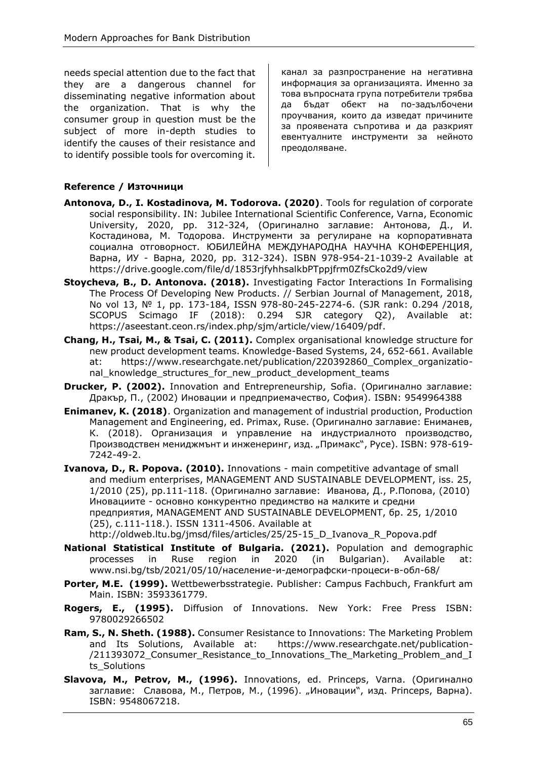needs special attention due to the fact that they are a dangerous channel for disseminating negative information about the organization. That is why the consumer group in question must be the subject of more in-depth studies to identify the causes of their resistance and to identify possible tools for overcoming it.

канал за разпространение на негативна информация за организацията. Именно за това въпросната група потребители трябва да бъдат обект на по-задълбочени проучвания, които да изведат причините за проявената съпротива и да разкрият евентуалните инструменти за нейното преодоляване.

# **Reference / Източници**

- **Antonova, D., I. Kostadinova, M. Todorova. (2020)**. Tools for regulation of corporate social responsibility. IN: Jubilee International Scientific Conference, Varna, Economic University, 2020, pp. 312-324, (Оригинално заглавие: Антонова, Д., И. Костадинова, М. Тодорова. Инструменти за регулиране на корпоративната социална отговорност. ЮБИЛЕЙНА МЕЖДУНАРОДНА НАУЧНА КОНФЕРЕНЦИЯ, Варна, ИУ - Варна, 2020, pp. 312-324). ISBN 978-954-21-1039-2 Available at <https://drive.google.com/file/d/1853rjfyhhsalkbPTppjfrm0ZfsCko2d9/view>
- **Stoycheva, B., D. Antonova. (2018).** Investigating Factor Interactions In Formalising The Process Of Developing New Products. // Serbian Journal of Management, 2018, No vol 13, № 1, pp. 173-184, ISSN 978-80-245-2274-6. (SJR rank: 0.294 /2018, SCOPUS Scimago IF (2018): 0.294 SJR category Q2), Available at: [https://aseestant.ceon.rs/index.php/sjm/article/view/16409/pdf.](https://aseestant.ceon.rs/index.php/sjm/article/view/16409/pdf)
- **Chang, H., Tsai, M., & Tsai, C. (2011).** Complex organisational knowledge structure for new product development teams. Knowledge-Based Systems, 24, 652-661. Available at: https://www.researchgate.net/publication/220392860 Complex organizational knowledge structures for new product development teams
- **Drucker, P. (2002).** Innovation and Entrepreneurship, Sofia. (Оригинално заглавие: Дракър, П., (2002) Иновации и предприемачество, София). ISBN: 9549964388
- **Enimanev, K. (2018)**. Organization and management of industrial production, Production Management and Engineering, ed. Primax, Ruse. (Оригинално заглавие: Ениманев, К. (2018). Организация и управление на индустриалното производство, Производствен мениджмънт и инженеринг, изд. "Примакс", Русе). ISBN: 978-619-7242-49-2.
- **Ivanova, D., R. Popova. (2010).** Innovations main competitive advantage of small and medium enterprises, MANAGEMENT AND SUSTAINABLE DEVELOPMENT, iss. 25, 1/2010 (25), pp.111-118. (Оригинално заглавие: Иванова, Д., Р.Попова, (2010) Иновациите - основно конкурентно предимство на малките и средни предприятия, MANAGEMENT AND SUSTAINABLE DEVELOPMENT, бр. 25, 1/2010 (25), с.111-118.). ISSN 1311-4506. Available at [http://oldweb.ltu.bg/jmsd/files/articles/25/25-15\\_D\\_Ivanova\\_R\\_Popova.pdf](http://oldweb.ltu.bg/jmsd/files/articles/25/25-15_D_Ivanova_R_Popova.pdf)
- **National Statistical Institute of Bulgaria. (2021).** Population and demographic processes in Ruse region in  $2020$  (in Bulgarian). Available [www.nsi.bg/tsb/2021/05/10/население](http://www.nsi.bg/tsb/2021/05/10/население-и-демографски-процеси-в-обл-68/)-и-демографски-процеси-в-обл-68/
- **Porter, M.E. (1999).** Wettbewerbsstrategie. Publisher: Campus Fachbuch, Frankfurt am Main. ISBN: 3593361779.
- **Rogers, Е., (1995).** Diffusion of Innovations. New York: Free Press ISBN: 9780029266502
- **Ram, S., N. Sheth. (1988).** Consumer Resistance to Innovations: The Marketing Problem and Its Solutions, Available at: [https://www.researchgate.net/publication-](https://www.researchgate.net/publication/211393072_Consumer_Resistance_to_Innovations_The_Marketing_Problem_and_Its_Solutions) [/211393072\\_Consumer\\_Resistance\\_to\\_Innovations\\_The\\_Marketing\\_Problem\\_and\\_I](https://www.researchgate.net/publication/211393072_Consumer_Resistance_to_Innovations_The_Marketing_Problem_and_Its_Solutions) ts Solutions
- **Slavova, M., Petrov, M., (1996).** Innovations, ed. Princeps, Varna. (Оригинално заглавие: Славова, М., Петров, М., (1996). "Иновации", изд. Princeps, Варна). ISBN: 9548067218.